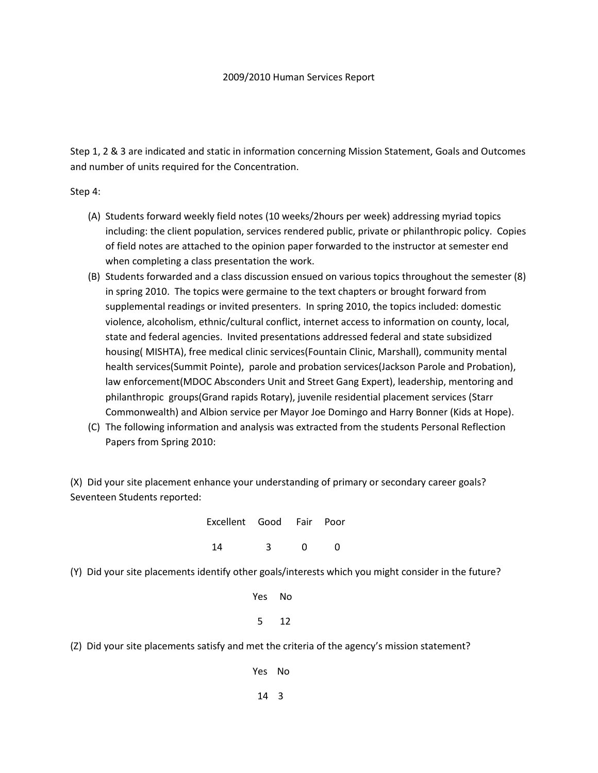## 2009/2010 Human Services Report

Step 1, 2 & 3 are indicated and static in information concerning Mission Statement, Goals and Outcomes and number of units required for the Concentration.

Step 4:

- (A) Students forward weekly field notes (10 weeks/2hours per week) addressing myriad topics including: the client population, services rendered public, private or philanthropic policy. Copies of field notes are attached to the opinion paper forwarded to the instructor at semester end when completing a class presentation the work.
- (B) Students forwarded and a class discussion ensued on various topics throughout the semester (8) in spring 2010. The topics were germaine to the text chapters or brought forward from supplemental readings or invited presenters. In spring 2010, the topics included: domestic violence, alcoholism, ethnic/cultural conflict, internet access to information on county, local, state and federal agencies. Invited presentations addressed federal and state subsidized housing( MISHTA), free medical clinic services(Fountain Clinic, Marshall), community mental health services(Summit Pointe), parole and probation services(Jackson Parole and Probation), law enforcement(MDOC Absconders Unit and Street Gang Expert), leadership, mentoring and philanthropic groups(Grand rapids Rotary), juvenile residential placement services (Starr Commonwealth) and Albion service per Mayor Joe Domingo and Harry Bonner (Kids at Hope).
- (C) The following information and analysis was extracted from the students Personal Reflection Papers from Spring 2010:

(X) Did your site placement enhance your understanding of primary or secondary career goals? Seventeen Students reported:

| Excellent Good Fair Poor |              |  |
|--------------------------|--------------|--|
| 14                       | $\sim$ 3 0 0 |  |

(Y) Did your site placements identify other goals/interests which you might consider in the future?

 Yes No 5 12

(Z) Did your site placements satisfy and met the criteria of the agency's mission statement?

Yes No

14 3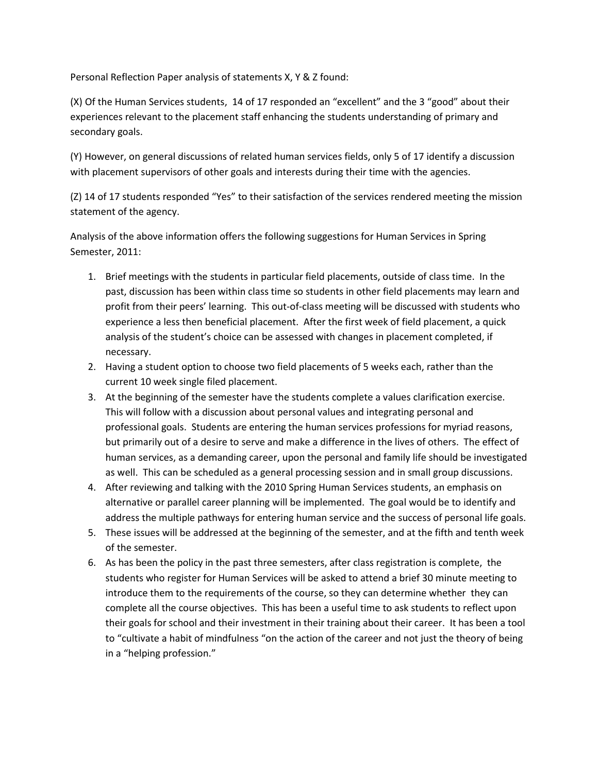Personal Reflection Paper analysis of statements X, Y & Z found:

(X) Of the Human Services students, 14 of 17 responded an "excellent" and the 3 "good" about their experiences relevant to the placement staff enhancing the students understanding of primary and secondary goals.

(Y) However, on general discussions of related human services fields, only 5 of 17 identify a discussion with placement supervisors of other goals and interests during their time with the agencies.

(Z) 14 of 17 students responded "Yes" to their satisfaction of the services rendered meeting the mission statement of the agency.

Analysis of the above information offers the following suggestions for Human Services in Spring Semester, 2011:

- 1. Brief meetings with the students in particular field placements, outside of class time. In the past, discussion has been within class time so students in other field placements may learn and profit from their peers' learning. This out-of-class meeting will be discussed with students who experience a less then beneficial placement. After the first week of field placement, a quick analysis of the student's choice can be assessed with changes in placement completed, if necessary.
- 2. Having a student option to choose two field placements of 5 weeks each, rather than the current 10 week single filed placement.
- 3. At the beginning of the semester have the students complete a values clarification exercise. This will follow with a discussion about personal values and integrating personal and professional goals. Students are entering the human services professions for myriad reasons, but primarily out of a desire to serve and make a difference in the lives of others. The effect of human services, as a demanding career, upon the personal and family life should be investigated as well. This can be scheduled as a general processing session and in small group discussions.
- 4. After reviewing and talking with the 2010 Spring Human Services students, an emphasis on alternative or parallel career planning will be implemented. The goal would be to identify and address the multiple pathways for entering human service and the success of personal life goals.
- 5. These issues will be addressed at the beginning of the semester, and at the fifth and tenth week of the semester.
- 6. As has been the policy in the past three semesters, after class registration is complete, the students who register for Human Services will be asked to attend a brief 30 minute meeting to introduce them to the requirements of the course, so they can determine whether they can complete all the course objectives. This has been a useful time to ask students to reflect upon their goals for school and their investment in their training about their career. It has been a tool to "cultivate a habit of mindfulness "on the action of the career and not just the theory of being in a "helping profession."